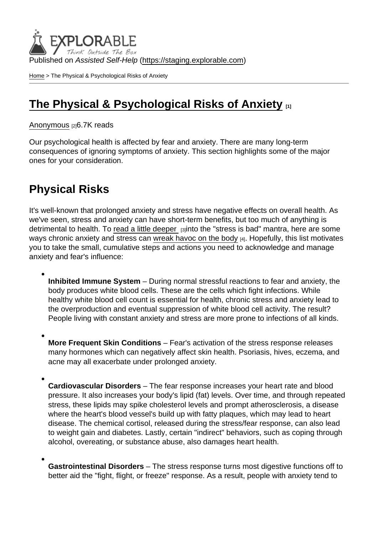Published on Assisted Self-Help [\(https://staging.explorable.com](https://staging.explorable.com))

[Home](https://staging.explorable.com/en) > The Physical & Psychological Risks of Anxiety

## [The Physical & Psychological Risks of Anxiety](https://staging.explorable.com/en/e/physical-psychological-risks-of-anxiety)  $\Box$

## [Anonymous](https://staging.explorable.com/en/users/grharriman) [2]6.7K reads

Our psychological health is affected by fear and anxiety. There are many long-term consequences of ignoring symptoms of anxiety. This section highlights some of the major ones for your consideration.

## Physical Risks

It's well-known that prolonged anxiety and stress have negative effects on overall health. As we've seen, stress and anxiety can have short-term benefits, but too much of anything is detrimental to health. To [read a little deeper](https://www.mentalhelp.net/articles/the-long-term-consequences-of-negative-stress/) sijnto the "stress is bad" mantra, here are some ways chronic anxiety and stress can [wreak havoc on the body](http://www.health.harvard.edu/staying-healthy/anxiety_and_physical_illness) [4]. Hopefully, this list motivates you to take the small, cumulative steps and actions you need to acknowledge and manage anxiety and fear's influence:

- Inhibited Immune System During normal stressful reactions to fear and anxiety, the body produces white blood cells. These are the cells which fight infections. While healthy white blood cell count is essential for health, chronic stress and anxiety lead to the overproduction and eventual suppression of white blood cell activity. The result? People living with constant anxiety and stress are more prone to infections of all kinds.
- More Frequent Skin Conditions Fear's activation of the stress response releases many hormones which can negatively affect skin health. Psoriasis, hives, eczema, and acne may all exacerbate under prolonged anxiety.
- Cardiovascular Disorders The fear response increases your heart rate and blood pressure. It also increases your body's lipid (fat) levels. Over time, and through repeated stress, these lipids may spike cholesterol levels and prompt atherosclerosis, a disease where the heart's blood vessel's build up with fatty plaques, which may lead to heart disease. The chemical cortisol, released during the stress/fear response, can also lead to weight gain and diabetes. Lastly, certain "indirect" behaviors, such as coping through alcohol, overeating, or substance abuse, also damages heart health.
- Gastrointestinal Disorders The stress response turns most digestive functions off to better aid the "fight, flight, or freeze" response. As a result, people with anxiety tend to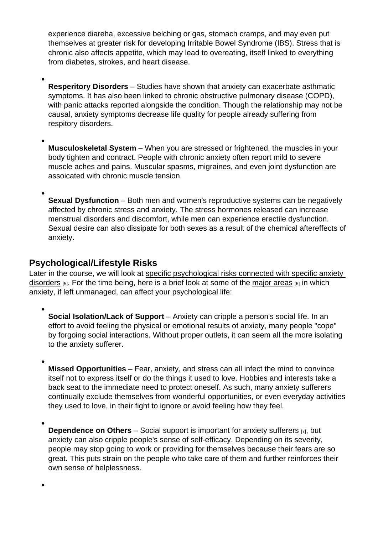experience diareha, excessive belching or gas, stomach cramps, and may even put themselves at greater risk for developing Irritable Bowel Syndrome (IBS). Stress that is chronic also affects appetite, which may lead to overeating, itself linked to everything from diabetes, strokes, and heart disease.

Resperitory Disorders – Studies have shown that anxiety can exacerbate asthmatic symptoms. It has also been linked to chronic obstructive pulmonary disease (COPD), with panic attacks reported alongside the condition. Though the relationship may not be causal, anxiety symptoms decrease life quality for people already suffering from respitory disorders.

Musculoskeletal System – When you are stressed or frightened, the muscles in your body tighten and contract. People with chronic anxiety often report mild to severe muscle aches and pains. Muscular spasms, migraines, and even joint dysfunction are assoicated with chronic muscle tension.

Sexual Dysfunction – Both men and women's reproductive systems can be negatively affected by chronic stress and anxiety. The stress hormones released can increase menstrual disorders and discomfort, while men can experience erectile dysfunction. Sexual desire can also dissipate for both sexes as a result of the chemical aftereffects of anxiety.

## Psychological/Lifestyle Risks

Later in the course, we will look at [specific psychological risks connected with specific anxiety](https://explorable.com/common-anxiety-disorders)  [disorders](https://explorable.com/common-anxiety-disorders)  $[5]$ . For the time being, here is a brief look at some of the [major areas](https://www.psychologytoday.com/blog/the-mindful-self-express/201303/why-we-cant-just-get-rid-anxiety-distress)  $[6]$  in which anxiety, if left unmanaged, can affect your psychological life:

Social Isolation/Lack of Support – Anxiety can cripple a person's social life. In an effort to avoid feeling the physical or emotional results of anxiety, many people "cope" by forgoing social interactions. Without proper outlets, it can seem all the more isolating to the anxiety sufferer.

Missed Opportunities – Fear, anxiety, and stress can all infect the mind to convince itself not to express itself or do the things it used to love. Hobbies and interests take a back seat to the immediate need to protect oneself. As such, many anxiety sufferers continually exclude themselves from wonderful opportunities, or even everyday activities they used to love, in their fight to ignore or avoid feeling how they feel.

Dependence on Others  $-$  [Social support is important for anxiety sufferers](https://explorable.com/social-support)  $[7]$ , but anxiety can also cripple people's sense of self-efficacy. Depending on its severity, people may stop going to work or providing for themselves because their fears are so great. This puts strain on the people who take care of them and further reinforces their own sense of helplessness.